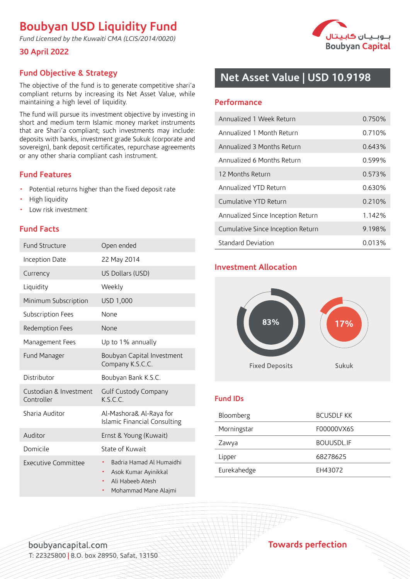# **Boubyan USD Liquidity Fund**

*Fund Licensed by the Kuwaiti CMA (LCIS/2014/0020)*

## **30 April 2022**



# **Fund Objective & Strategy**

The objective of the fund is to generate competitive shari'a compliant returns by increasing its Net Asset Value, while maintaining a high level of liquidity.

The fund will pursue its investment objective by investing in short and medium term Islamic money market instruments that are Shari'a compliant; such investments may include: deposits with banks, investment grade Sukuk (corporate and sovereign), bank deposit certificates, repurchase agreements or any other sharia compliant cash instrument.

## **Fund Features**

- Potential returns higher than the fixed deposit rate
- High liquidity
- Low risk investment

## **Fund Facts**

| <b>Fund Structure</b>                | Open ended                                                                                        |  |  |  |  |
|--------------------------------------|---------------------------------------------------------------------------------------------------|--|--|--|--|
| Inception Date                       | 22 May 2014                                                                                       |  |  |  |  |
| Currency                             | US Dollars (USD)                                                                                  |  |  |  |  |
| Liquidity                            | Weekly                                                                                            |  |  |  |  |
| Minimum Subscription                 | USD 1,000                                                                                         |  |  |  |  |
| Subscription Fees                    | None                                                                                              |  |  |  |  |
| Redemption Fees                      | None                                                                                              |  |  |  |  |
| Management Fees                      | Up to 1% annually                                                                                 |  |  |  |  |
| Fund Manager                         | Boubyan Capital Investment<br>Company K.S.C.C.                                                    |  |  |  |  |
| Distributor                          | Boubyan Bank K.S.C.                                                                               |  |  |  |  |
| Custodian & Investment<br>Controller | Gulf Custody Company<br>K S C C                                                                   |  |  |  |  |
| Sharia Auditor                       | Al-Mashora& Al-Raya for<br><b>Islamic Financial Consulting</b>                                    |  |  |  |  |
| Auditor                              | Ernst & Young (Kuwait)                                                                            |  |  |  |  |
| Domicile                             | State of Kuwait                                                                                   |  |  |  |  |
| <b>Executive Committee</b>           | Badria Hamad Al Humaidhi<br>Asok Kumar Ayinikkal<br>Ali Habeeb Atesh<br>Mohammad Mane Alajmi<br>٠ |  |  |  |  |

# **Net Asset Value | USD 10.9198**

#### **Performance**

| Annualized 1 Week Return          | 0.750% |  |  |
|-----------------------------------|--------|--|--|
| Annualized 1 Month Return         | 0.710% |  |  |
| Annualized 3 Months Return        | 0.643% |  |  |
| Annualized 6 Months Return        | 0.599% |  |  |
| 12 Months Return                  | 0.573% |  |  |
| Annualized YTD Return             | 0.630% |  |  |
| Cumulative YTD Return             | 0.210% |  |  |
| Annualized Since Inception Return | 1.142% |  |  |
| Cumulative Since Inception Return | 9.198% |  |  |
| Standard Deviation                | 0.013% |  |  |

## **Investment Allocation**



#### **Fund IDs**

| Bloomberg   | <b>BCUSDLF KK</b> |
|-------------|-------------------|
| Morningstar | F00000VX6S        |
| Zawya       | <b>BOUUSDL.IF</b> |
| Lipper      | 68278625          |
| Eurekahedge | EH43072           |

boubvancapital.com T: 22325800 **|** B.O. box 28950, Safat, 13150 **Towards perfection**